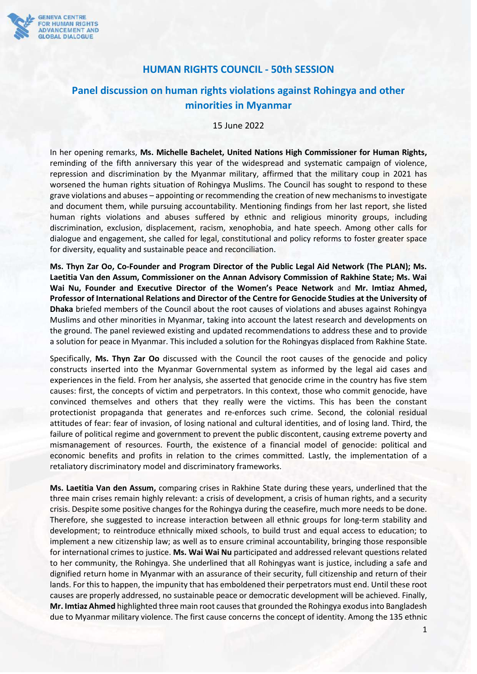

## **HUMAN RIGHTS COUNCIL - 50th SESSION**

## **Panel discussion on human rights violations against Rohingya and other minorities in Myanmar**

15 June 2022

In her opening remarks, **Ms. Michelle Bachelet, United Nations High Commissioner for Human Rights,**  reminding of the fifth anniversary this year of the widespread and systematic campaign of violence, repression and discrimination by the Myanmar military, affirmed that the military coup in 2021 has worsened the human rights situation of Rohingya Muslims. The Council has sought to respond to these grave violations and abuses – appointing or recommending the creation of new mechanisms to investigate and document them, while pursuing accountability. Mentioning findings from her last report, she listed human rights violations and abuses suffered by ethnic and religious minority groups, including discrimination, exclusion, displacement, racism, xenophobia, and hate speech. Among other calls for dialogue and engagement, she called for legal, constitutional and policy reforms to foster greater space for diversity, equality and sustainable peace and reconciliation.

**Ms. Thyn Zar Oo, Co-Founder and Program Director of the Public Legal Aid Network (The PLAN); Ms. Laetitia Van den Assum, Commissioner on the Annan Advisory Commission of Rakhine State; Ms. Wai Wai Nu, Founder and Executive Director of the Women's Peace Network** and **Mr. Imtiaz Ahmed, Professor of International Relations and Director of the Centre for Genocide Studies at the University of Dhaka** briefed members of the Council about the root causes of violations and abuses against Rohingya Muslims and other minorities in Myanmar, taking into account the latest research and developments on the ground. The panel reviewed existing and updated recommendations to address these and to provide a solution for peace in Myanmar. This included a solution for the Rohingyas displaced from Rakhine State.

Specifically, **Ms. Thyn Zar Oo** discussed with the Council the root causes of the genocide and policy constructs inserted into the Myanmar Governmental system as informed by the legal aid cases and experiences in the field. From her analysis, she asserted that genocide crime in the country has five stem causes: first, the concepts of victim and perpetrators. In this context, those who commit genocide, have convinced themselves and others that they really were the victims. This has been the constant protectionist propaganda that generates and re-enforces such crime. Second, the colonial residual attitudes of fear: fear of invasion, of losing national and cultural identities, and of losing land. Third, the failure of political regime and government to prevent the public discontent, causing extreme poverty and mismanagement of resources. Fourth, the existence of a financial model of genocide: political and economic benefits and profits in relation to the crimes committed. Lastly, the implementation of a retaliatory discriminatory model and discriminatory frameworks.

**Ms. Laetitia Van den Assum,** comparing crises in Rakhine State during these years, underlined that the three main crises remain highly relevant: a crisis of development, a crisis of human rights, and a security crisis. Despite some positive changes for the Rohingya during the ceasefire, much more needs to be done. Therefore, she suggested to increase interaction between all ethnic groups for long-term stability and development; to reintroduce ethnically mixed schools, to build trust and equal access to education; to implement a new citizenship law; as well as to ensure criminal accountability, bringing those responsible for international crimes to justice. **Ms. Wai Wai Nu** participated and addressed relevant questions related to her community, the Rohingya. She underlined that all Rohingyas want is justice, including a safe and dignified return home in Myanmar with an assurance of their security, full citizenship and return of their lands. For this to happen, the impunity that has emboldened their perpetrators must end. Until these root causes are properly addressed, no sustainable peace or democratic development will be achieved. Finally, **Mr. Imtiaz Ahmed** highlighted three main root causes that grounded the Rohingya exodus into Bangladesh due to Myanmar military violence. The first cause concerns the concept of identity. Among the 135 ethnic